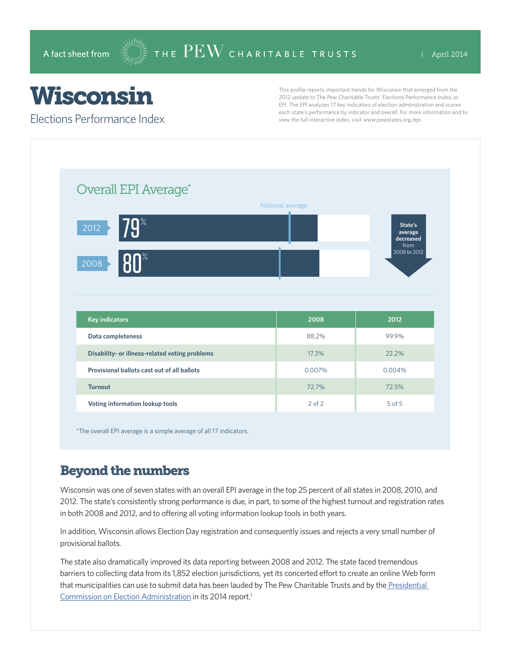# Wisconsin

Elections Performance Index

This profile reports important trends for Wisconsin that emerged from the 2012 update to The Pew Charitable Trusts' Elections Performance Index, or EPI. The EPI analyzes 17 key indicators of election administration and scores each state's performance by indicator and overall. For more information and to view the full interactive index, visit www.pewstates.org/epi.

| Overall EPI Average*                           |                  |                                         |
|------------------------------------------------|------------------|-----------------------------------------|
|                                                | National average |                                         |
| <b>79</b> %<br>2012                            |                  | State's<br>average<br>decreased<br>from |
| <b>80°</b><br>2008                             |                  | 2008 to 2012                            |
|                                                |                  |                                         |
|                                                |                  |                                         |
|                                                | 2008             | 2012                                    |
| <b>Key indicators</b><br>Data completeness     | 88.2%            | 99.9%                                   |
| Disability- or illness-related voting problems | 17.3%            | 22.2%                                   |
| Provisional ballots cast out of all ballots    | 0.007%           | 0.004%                                  |
| <b>Turnout</b>                                 | 72.7%            | 72.5%                                   |

\*The overall EPI average is a simple average of all 17 indicators.

## Beyond the numbers

Wisconsin was one of seven states with an overall EPI average in the top 25 percent of all states in 2008, 2010, and 2012. The state's consistently strong performance is due, in part, to some of the highest turnout and registration rates in both 2008 and 2012, and to offering all voting information lookup tools in both years.

In addition, Wisconsin allows Election Day registration and consequently issues and rejects a very small number of provisional ballots.

The state also dramatically improved its data reporting between 2008 and 2012. The state faced tremendous barriers to collecting data from its 1,852 election jurisdictions, yet its concerted effort to create an online Web form that municipalities can use to submit data has been lauded by The Pew Charitable Trusts and by the Presidential [Commission on Election Administration](http://www.supportthevoter.gov/) in its 2014 report.<sup>1</sup>